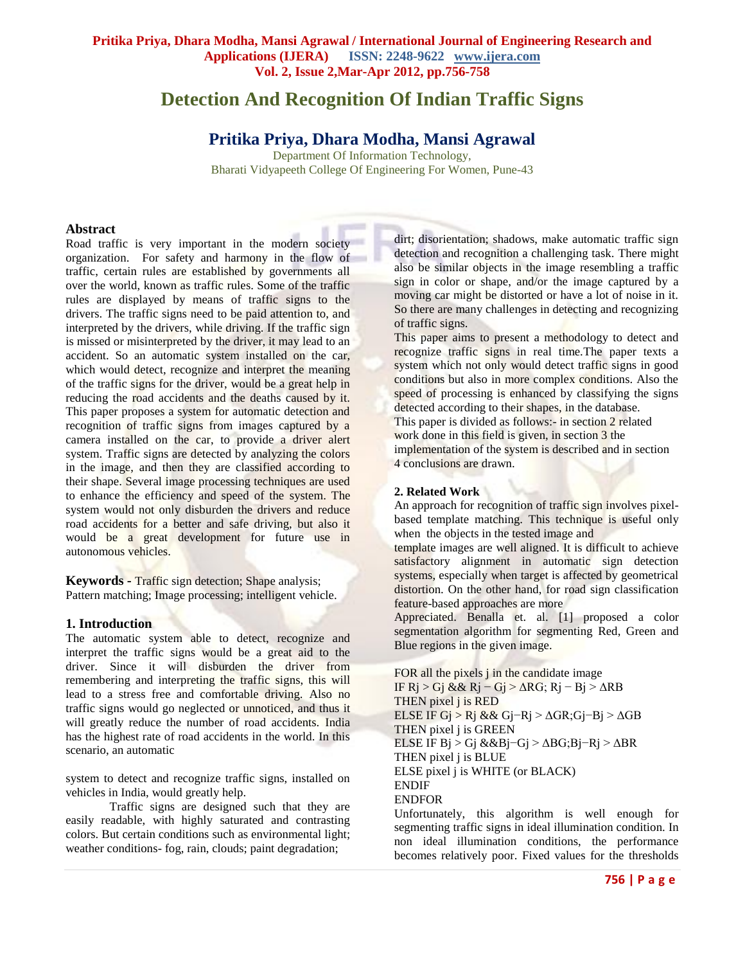# **Detection And Recognition Of Indian Traffic Signs**

## **Pritika Priya, Dhara Modha, Mansi Agrawal**

Department Of Information Technology, Bharati Vidyapeeth College Of Engineering For Women, Pune-43

## **Abstract**

Road traffic is very important in the modern society organization. For safety and harmony in the flow of traffic, certain rules are established by governments all over the world, known as traffic rules. Some of the traffic rules are displayed by means of traffic signs to the drivers. The traffic signs need to be paid attention to, and interpreted by the drivers, while driving. If the traffic sign is missed or misinterpreted by the driver, it may lead to an accident. So an automatic system installed on the car, which would detect, recognize and interpret the meaning of the traffic signs for the driver, would be a great help in reducing the road accidents and the deaths caused by it. This paper proposes a system for automatic detection and recognition of traffic signs from images captured by a camera installed on the car, to provide a driver alert system. Traffic signs are detected by analyzing the colors in the image, and then they are classified according to their shape. Several image processing techniques are used to enhance the efficiency and speed of the system. The system would not only disburden the drivers and reduce road accidents for a better and safe driving, but also it would be a great development for future use in autonomous vehicles.

**Keywords -** Traffic sign detection; Shape analysis; Pattern matching; Image processing; intelligent vehicle.

## **1. Introduction**

The automatic system able to detect, recognize and interpret the traffic signs would be a great aid to the driver. Since it will disburden the driver from remembering and interpreting the traffic signs, this will lead to a stress free and comfortable driving. Also no traffic signs would go neglected or unnoticed, and thus it will greatly reduce the number of road accidents. India has the highest rate of road accidents in the world. In this scenario, an automatic

system to detect and recognize traffic signs, installed on vehicles in India, would greatly help.

Traffic signs are designed such that they are easily readable, with highly saturated and contrasting colors. But certain conditions such as environmental light; weather conditions- fog, rain, clouds; paint degradation;

dirt; disorientation; shadows, make automatic traffic sign detection and recognition a challenging task. There might also be similar objects in the image resembling a traffic sign in color or shape, and/or the image captured by a moving car might be distorted or have a lot of noise in it. So there are many challenges in detecting and recognizing of traffic signs.

This paper aims to present a methodology to detect and recognize traffic signs in real time.The paper texts a system which not only would detect traffic signs in good conditions but also in more complex conditions. Also the speed of processing is enhanced by classifying the signs detected according to their shapes, in the database. This paper is divided as follows:- in section 2 related work done in this field is given, in section 3 the implementation of the system is described and in section 4 conclusions are drawn.

## **2. Related Work**

An approach for recognition of traffic sign involves pixelbased template matching. This technique is useful only when the objects in the tested image and

template images are well aligned. It is difficult to achieve satisfactory alignment in automatic sign detection systems, especially when target is affected by geometrical distortion. On the other hand, for road sign classification feature-based approaches are more

Appreciated. Benalla et. al. [1] proposed a color segmentation algorithm for segmenting Red, Green and Blue regions in the given image.

FOR all the pixels j in the candidate image IF Rj > Gj && Rj − Gj > ΔRG; Rj − Bj > ΔRB THEN pixel j is RED ELSE IF Gj > Rj && Gj−Rj > ΔGR;Gj−Bj > ΔGB THEN pixel j is GREEN ELSE IF Bj > Gj &&Bj−Gj > ΔBG;Bj−Rj > ΔBR THEN pixel j is BLUE ELSE pixel j is WHITE (or BLACK) ENDIF ENDFOR

Unfortunately, this algorithm is well enough for segmenting traffic signs in ideal illumination condition. In non ideal illumination conditions, the performance becomes relatively poor. Fixed values for the thresholds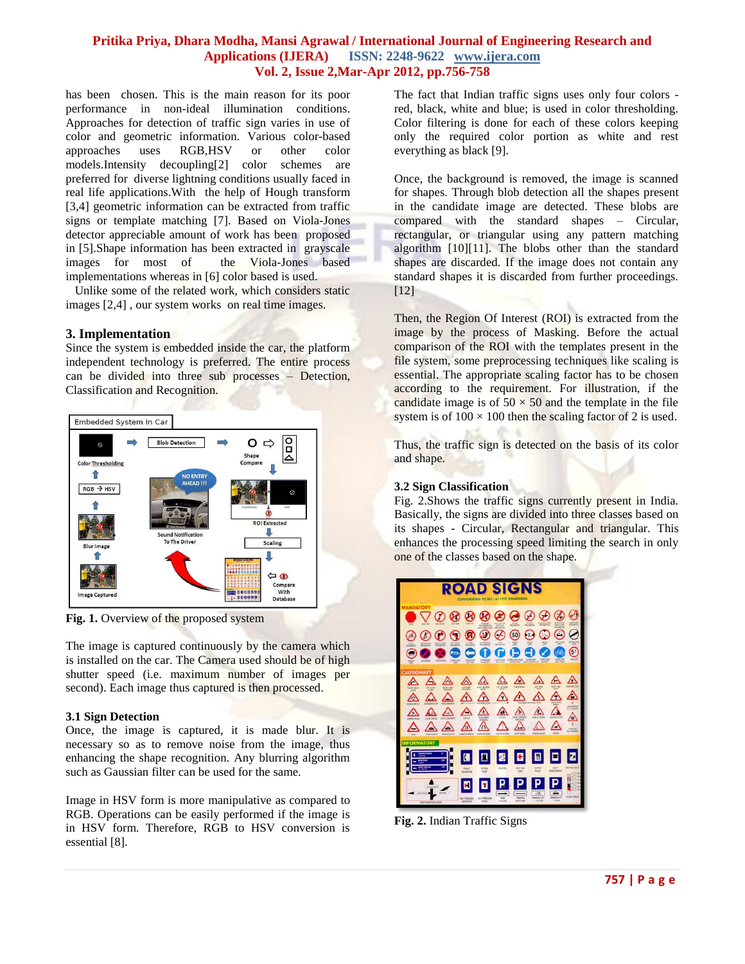## **Pritika Priya, Dhara Modha, Mansi Agrawal / International Journal of Engineering Research and Applications (IJERA) ISSN: 2248-9622 www.ijera.com Vol. 2, Issue 2,Mar-Apr 2012, pp.756-758**

has been chosen. This is the main reason for its poor performance in non-ideal illumination conditions. Approaches for detection of traffic sign varies in use of color and geometric information. Various color-based approaches uses RGB,HSV or other color models.Intensity decoupling[2] color schemes are preferred for diverse lightning conditions usually faced in real life applications.With the help of Hough transform [3,4] geometric information can be extracted from traffic signs or template matching [7]. Based on Viola-Jones detector appreciable amount of work has been proposed in [5].Shape information has been extracted in grayscale images for most of the Viola-Jones based implementations whereas in [6] color based is used.

 Unlike some of the related work, which considers static images [2,4] , our system works on real time images.

## **3. Implementation**

Since the system is embedded inside the car, the platform independent technology is preferred. The entire process can be divided into three sub processes – Detection, Classification and Recognition.



**Fig. 1.** Overview of the proposed system

The image is captured continuously by the camera which is installed on the car. The Camera used should be of high shutter speed (i.e. maximum number of images per second). Each image thus captured is then processed.

## **3.1 Sign Detection**

Once, the image is captured, it is made blur. It is necessary so as to remove noise from the image, thus enhancing the shape recognition. Any blurring algorithm such as Gaussian filter can be used for the same.

Image in HSV form is more manipulative as compared to RGB. Operations can be easily performed if the image is in HSV form. Therefore, RGB to HSV conversion is essential [8].

The fact that Indian traffic signs uses only four colors red, black, white and blue; is used in color thresholding. Color filtering is done for each of these colors keeping only the required color portion as white and rest everything as black [9].

Once, the background is removed, the image is scanned for shapes. Through blob detection all the shapes present in the candidate image are detected. These blobs are compared with the standard shapes – Circular, rectangular, or triangular using any pattern matching algorithm [10][11]. The blobs other than the standard shapes are discarded. If the image does not contain any standard shapes it is discarded from further proceedings. [12]

Then, the Region Of Interest (ROI) is extracted from the image by the process of Masking. Before the actual comparison of the ROI with the templates present in the file system, some preprocessing techniques like scaling is essential. The appropriate scaling factor has to be chosen according to the requirement. For illustration, if the candidate image is of  $50 \times 50$  and the template in the file system is of  $100 \times 100$  then the scaling factor of 2 is used.

Thus, the traffic sign is detected on the basis of its color and shape.

## **3.2 Sign Classification**

Fig. 2.Shows the traffic signs currently present in India. Basically, the signs are divided into three classes based on its shapes - Circular, Rectangular and triangular. This enhances the processing speed limiting the search in only one of the classes based on the shape.



**Fig. 2.** Indian Traffic Signs